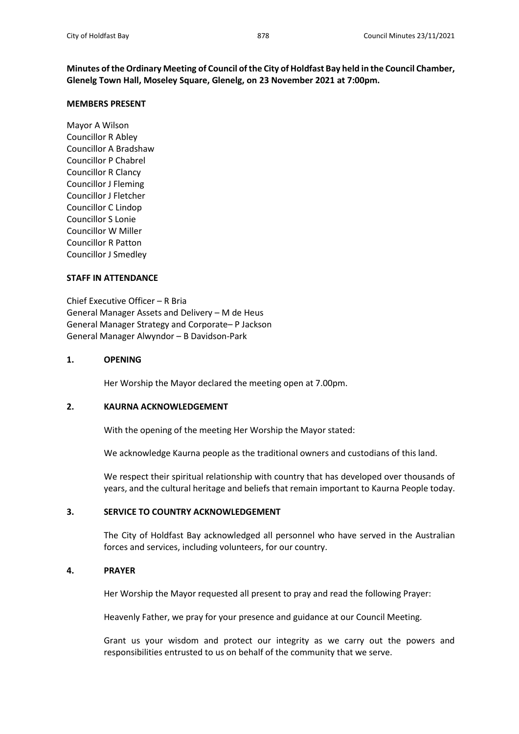**Minutes of the Ordinary Meeting of Council of the City of Holdfast Bay held in the Council Chamber, Glenelg Town Hall, Moseley Square, Glenelg, on 23 November 2021 at 7:00pm.**

### **MEMBERS PRESENT**

Mayor A Wilson Councillor R Abley Councillor A Bradshaw Councillor P Chabrel Councillor R Clancy Councillor J Fleming Councillor J Fletcher Councillor C Lindop Councillor S Lonie Councillor W Miller Councillor R Patton Councillor J Smedley

### **STAFF IN ATTENDANCE**

Chief Executive Officer – R Bria General Manager Assets and Delivery – M de Heus General Manager Strategy and Corporate– P Jackson General Manager Alwyndor – B Davidson-Park

## **1. OPENING**

Her Worship the Mayor declared the meeting open at 7.00pm.

# **2. KAURNA ACKNOWLEDGEMENT**

With the opening of the meeting Her Worship the Mayor stated:

We acknowledge Kaurna people as the traditional owners and custodians of this land.

We respect their spiritual relationship with country that has developed over thousands of years, and the cultural heritage and beliefs that remain important to Kaurna People today.

# **3. SERVICE TO COUNTRY ACKNOWLEDGEMENT**

The City of Holdfast Bay acknowledged all personnel who have served in the Australian forces and services, including volunteers, for our country.

## **4. PRAYER**

Her Worship the Mayor requested all present to pray and read the following Prayer:

Heavenly Father, we pray for your presence and guidance at our Council Meeting.

Grant us your wisdom and protect our integrity as we carry out the powers and responsibilities entrusted to us on behalf of the community that we serve.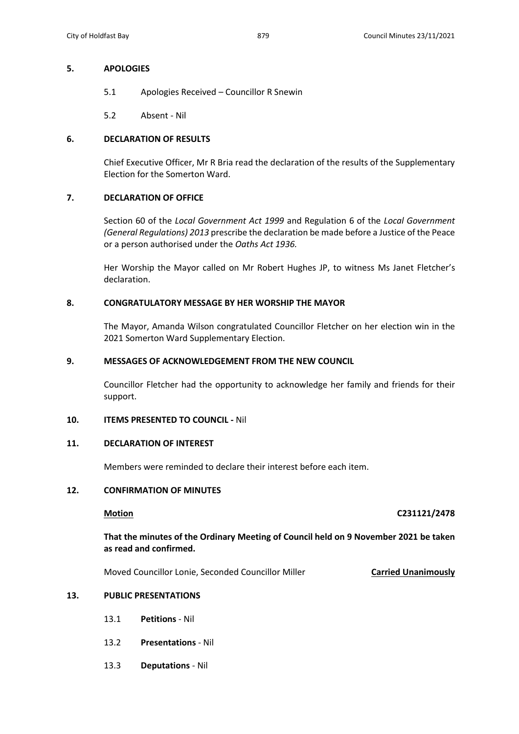## **5. APOLOGIES**

- 5.1 Apologies Received Councillor R Snewin
- 5.2 Absent Nil

# **6. DECLARATION OF RESULTS**

Chief Executive Officer, Mr R Bria read the declaration of the results of the Supplementary Election for the Somerton Ward.

# **7. DECLARATION OF OFFICE**

Section 60 of the *Local Government Act 1999* and Regulation 6 of the *Local Government (General Regulations) 2013* prescribe the declaration be made before a Justice of the Peace or a person authorised under the *Oaths Act 1936.*

Her Worship the Mayor called on Mr Robert Hughes JP, to witness Ms Janet Fletcher's declaration.

# **8. CONGRATULATORY MESSAGE BY HER WORSHIP THE MAYOR**

The Mayor, Amanda Wilson congratulated Councillor Fletcher on her election win in the 2021 Somerton Ward Supplementary Election.

## **9. MESSAGES OF ACKNOWLEDGEMENT FROM THE NEW COUNCIL**

Councillor Fletcher had the opportunity to acknowledge her family and friends for their support.

## **10. ITEMS PRESENTED TO COUNCIL -** Nil

# **11. DECLARATION OF INTEREST**

Members were reminded to declare their interest before each item.

# **12. CONFIRMATION OF MINUTES**

# **Motion C231121/2478**

**That the minutes of the Ordinary Meeting of Council held on 9 November 2021 be taken as read and confirmed.**

Moved Councillor Lonie, Seconded Councillor Miller **Carried Unanimously**

# **13. PUBLIC PRESENTATIONS**

- 13.1 **Petitions** Nil
- 13.2 **Presentations** Nil
- 13.3 **Deputations** Nil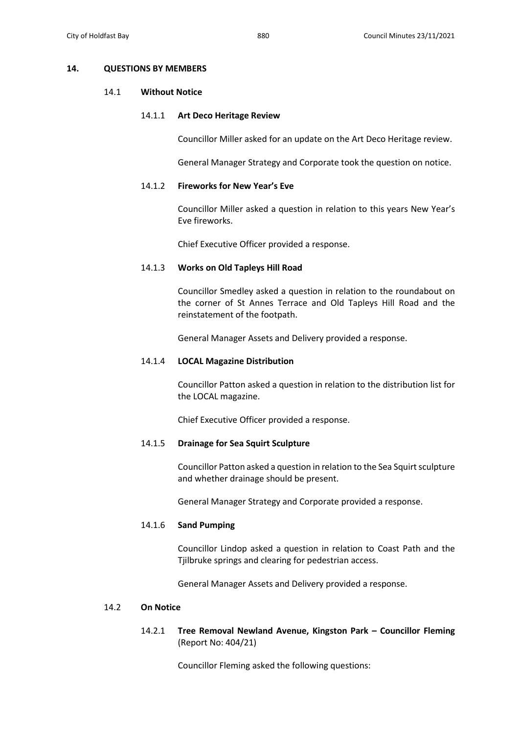### **14. QUESTIONS BY MEMBERS**

### 14.1 **Without Notice**

### 14.1.1 **Art Deco Heritage Review**

Councillor Miller asked for an update on the Art Deco Heritage review.

General Manager Strategy and Corporate took the question on notice.

# 14.1.2 **Fireworks for New Year's Eve**

Councillor Miller asked a question in relation to this years New Year's Eve fireworks.

Chief Executive Officer provided a response.

### 14.1.3 **Works on Old Tapleys Hill Road**

Councillor Smedley asked a question in relation to the roundabout on the corner of St Annes Terrace and Old Tapleys Hill Road and the reinstatement of the footpath.

General Manager Assets and Delivery provided a response.

### 14.1.4 **LOCAL Magazine Distribution**

Councillor Patton asked a question in relation to the distribution list for the LOCAL magazine.

Chief Executive Officer provided a response.

# 14.1.5 **Drainage for Sea Squirt Sculpture**

Councillor Patton asked a question in relation to the Sea Squirt sculpture and whether drainage should be present.

General Manager Strategy and Corporate provided a response.

## 14.1.6 **Sand Pumping**

Councillor Lindop asked a question in relation to Coast Path and the Tjilbruke springs and clearing for pedestrian access.

General Manager Assets and Delivery provided a response.

# 14.2 **On Notice**

14.2.1 **Tree Removal Newland Avenue, Kingston Park – Councillor Fleming** (Report No: 404/21)

Councillor Fleming asked the following questions: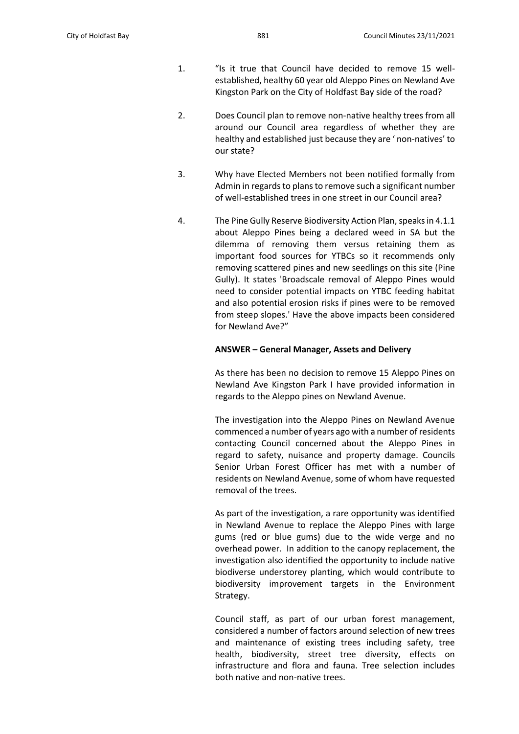- 1. "Is it true that Council have decided to remove 15 wellestablished, healthy 60 year old Aleppo Pines on Newland Ave Kingston Park on the City of Holdfast Bay side of the road?
- 2. Does Council plan to remove non-native healthy trees from all around our Council area regardless of whether they are healthy and established just because they are ' non-natives' to our state?
- 3. Why have Elected Members not been notified formally from Admin in regards to plans to remove such a significant number of well-established trees in one street in our Council area?
- 4. The Pine Gully Reserve Biodiversity Action Plan, speaks in 4.1.1 about Aleppo Pines being a declared weed in SA but the dilemma of removing them versus retaining them as important food sources for YTBCs so it recommends only removing scattered pines and new seedlings on this site (Pine Gully). It states 'Broadscale removal of Aleppo Pines would need to consider potential impacts on YTBC feeding habitat and also potential erosion risks if pines were to be removed from steep slopes.' Have the above impacts been considered for Newland Ave?"

### **ANSWER – General Manager, Assets and Delivery**

As there has been no decision to remove 15 Aleppo Pines on Newland Ave Kingston Park I have provided information in regards to the Aleppo pines on Newland Avenue.

The investigation into the Aleppo Pines on Newland Avenue commenced a number of years ago with a number of residents contacting Council concerned about the Aleppo Pines in regard to safety, nuisance and property damage. Councils Senior Urban Forest Officer has met with a number of residents on Newland Avenue, some of whom have requested removal of the trees.

As part of the investigation, a rare opportunity was identified in Newland Avenue to replace the Aleppo Pines with large gums (red or blue gums) due to the wide verge and no overhead power. In addition to the canopy replacement, the investigation also identified the opportunity to include native biodiverse understorey planting, which would contribute to biodiversity improvement targets in the Environment Strategy.

Council staff, as part of our urban forest management, considered a number of factors around selection of new trees and maintenance of existing trees including safety, tree health, biodiversity, street tree diversity, effects on infrastructure and flora and fauna. Tree selection includes both native and non-native trees.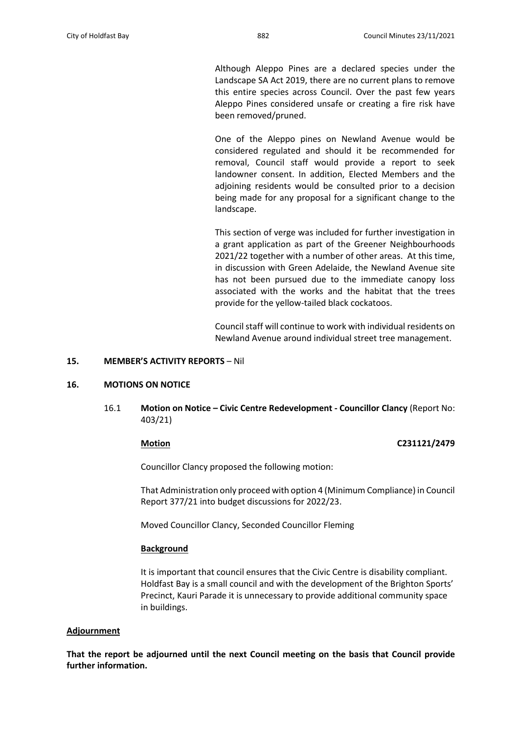Although Aleppo Pines are a declared species under the Landscape SA Act 2019, there are no current plans to remove this entire species across Council. Over the past few years Aleppo Pines considered unsafe or creating a fire risk have been removed/pruned.

One of the Aleppo pines on Newland Avenue would be considered regulated and should it be recommended for removal, Council staff would provide a report to seek landowner consent. In addition, Elected Members and the adjoining residents would be consulted prior to a decision being made for any proposal for a significant change to the landscape.

This section of verge was included for further investigation in a grant application as part of the Greener Neighbourhoods 2021/22 together with a number of other areas. At this time, in discussion with Green Adelaide, the Newland Avenue site has not been pursued due to the immediate canopy loss associated with the works and the habitat that the trees provide for the yellow-tailed black cockatoos.

Council staff will continue to work with individual residents on Newland Avenue around individual street tree management.

### **15. MEMBER'S ACTIVITY REPORTS** – Nil

### **16. MOTIONS ON NOTICE**

16.1 **Motion on Notice – Civic Centre Redevelopment - Councillor Clancy** (Report No: 403/21)

### **Motion C231121/2479**

Councillor Clancy proposed the following motion:

That Administration only proceed with option 4 (Minimum Compliance) in Council Report 377/21 into budget discussions for 2022/23.

Moved Councillor Clancy, Seconded Councillor Fleming

### **Background**

It is important that council ensures that the Civic Centre is disability compliant. Holdfast Bay is a small council and with the development of the Brighton Sports' Precinct, Kauri Parade it is unnecessary to provide additional community space in buildings.

### **Adjournment**

**That the report be adjourned until the next Council meeting on the basis that Council provide further information.**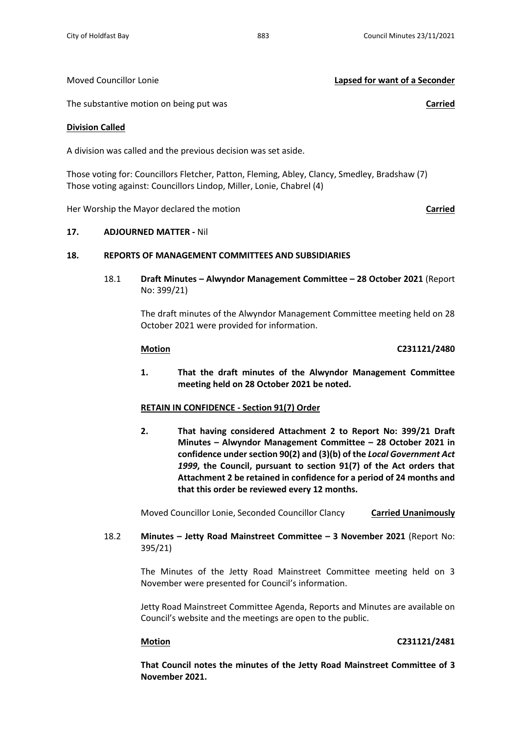Moved Councillor Lonie **Lapsed for want of a Seconder**

The substantive motion on being put was **Carried**

### **Division Called**

A division was called and the previous decision was set aside.

Those voting for: Councillors Fletcher, Patton, Fleming, Abley, Clancy, Smedley, Bradshaw (7) Those voting against: Councillors Lindop, Miller, Lonie, Chabrel (4)

Her Worship the Mayor declared the motion **Carried**

## **17. ADJOURNED MATTER -** Nil

# **18. REPORTS OF MANAGEMENT COMMITTEES AND SUBSIDIARIES**

18.1 **Draft Minutes – Alwyndor Management Committee – 28 October 2021** (Report No: 399/21)

> The draft minutes of the Alwyndor Management Committee meeting held on 28 October 2021 were provided for information.

# **Motion C231121/2480**

**1. That the draft minutes of the Alwyndor Management Committee meeting held on 28 October 2021 be noted.**

## **RETAIN IN CONFIDENCE - Section 91(7) Order**

**2. That having considered Attachment 2 to Report No: 399/21 Draft Minutes – Alwyndor Management Committee – 28 October 2021 in confidence under section 90(2) and (3)(b) of the** *Local Government Act 1999***, the Council, pursuant to section 91(7) of the Act orders that Attachment 2 be retained in confidence for a period of 24 months and that this order be reviewed every 12 months.**

Moved Councillor Lonie, Seconded Councillor Clancy **Carried Unanimously**

18.2 **Minutes – Jetty Road Mainstreet Committee – 3 November 2021** (Report No: 395/21)

> The Minutes of the Jetty Road Mainstreet Committee meeting held on 3 November were presented for Council's information.

> Jetty Road Mainstreet Committee Agenda, Reports and Minutes are available on Council's website and the meetings are open to the public.

## **Motion C231121/2481**

**That Council notes the minutes of the Jetty Road Mainstreet Committee of 3 November 2021.**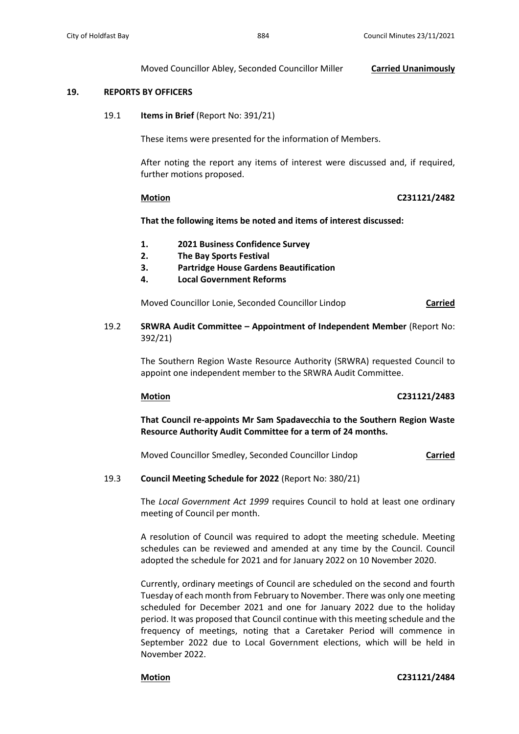### Moved Councillor Abley, Seconded Councillor Miller **Carried Unanimously**

## **19. REPORTS BY OFFICERS**

19.1 **Items in Brief** (Report No: 391/21)

These items were presented for the information of Members.

After noting the report any items of interest were discussed and, if required, further motions proposed.

### **Motion C231121/2482**

**That the following items be noted and items of interest discussed:**

- **1. 2021 Business Confidence Survey**
- **2. The Bay Sports Festival**
- **3. Partridge House Gardens Beautification**
- **4. Local Government Reforms**

Moved Councillor Lonie, Seconded Councillor Lindop **Carried**

19.2 **SRWRA Audit Committee – Appointment of Independent Member** (Report No: 392/21)

> The Southern Region Waste Resource Authority (SRWRA) requested Council to appoint one independent member to the SRWRA Audit Committee.

## **Motion C231121/2483**

**That Council re-appoints Mr Sam Spadavecchia to the Southern Region Waste Resource Authority Audit Committee for a term of 24 months.**

Moved Councillor Smedley, Seconded Councillor Lindop **Carried**

### 19.3 **Council Meeting Schedule for 2022** (Report No: 380/21)

The *Local Government Act 1999* requires Council to hold at least one ordinary meeting of Council per month.

A resolution of Council was required to adopt the meeting schedule. Meeting schedules can be reviewed and amended at any time by the Council. Council adopted the schedule for 2021 and for January 2022 on 10 November 2020.

Currently, ordinary meetings of Council are scheduled on the second and fourth Tuesday of each month from February to November. There was only one meeting scheduled for December 2021 and one for January 2022 due to the holiday period. It was proposed that Council continue with this meeting schedule and the frequency of meetings, noting that a Caretaker Period will commence in September 2022 due to Local Government elections, which will be held in November 2022.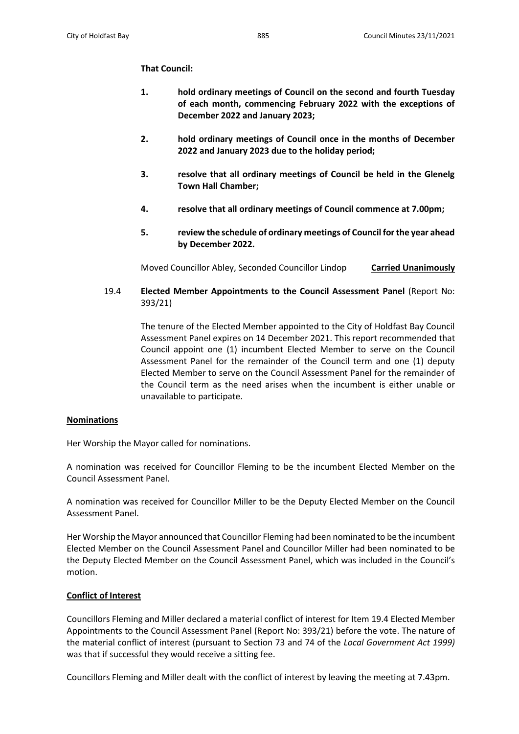# **That Council:**

- **1. hold ordinary meetings of Council on the second and fourth Tuesday of each month, commencing February 2022 with the exceptions of December 2022 and January 2023;**
- **2. hold ordinary meetings of Council once in the months of December 2022 and January 2023 due to the holiday period;**
- **3. resolve that all ordinary meetings of Council be held in the Glenelg Town Hall Chamber;**
- **4. resolve that all ordinary meetings of Council commence at 7.00pm;**
- **5. review the schedule of ordinary meetings of Council for the year ahead by December 2022.**

Moved Councillor Abley, Seconded Councillor Lindop **Carried Unanimously**

19.4 **Elected Member Appointments to the Council Assessment Panel** (Report No: 393/21)

> The tenure of the Elected Member appointed to the City of Holdfast Bay Council Assessment Panel expires on 14 December 2021. This report recommended that Council appoint one (1) incumbent Elected Member to serve on the Council Assessment Panel for the remainder of the Council term and one (1) deputy Elected Member to serve on the Council Assessment Panel for the remainder of the Council term as the need arises when the incumbent is either unable or unavailable to participate.

# **Nominations**

Her Worship the Mayor called for nominations.

A nomination was received for Councillor Fleming to be the incumbent Elected Member on the Council Assessment Panel.

A nomination was received for Councillor Miller to be the Deputy Elected Member on the Council Assessment Panel.

Her Worship the Mayor announced that Councillor Fleming had been nominated to be the incumbent Elected Member on the Council Assessment Panel and Councillor Miller had been nominated to be the Deputy Elected Member on the Council Assessment Panel, which was included in the Council's motion.

# **Conflict of Interest**

Councillors Fleming and Miller declared a material conflict of interest for Item 19.4 Elected Member Appointments to the Council Assessment Panel (Report No: 393/21) before the vote. The nature of the material conflict of interest (pursuant to Section 73 and 74 of the *Local Government Act 1999)* was that if successful they would receive a sitting fee.

Councillors Fleming and Miller dealt with the conflict of interest by leaving the meeting at 7.43pm.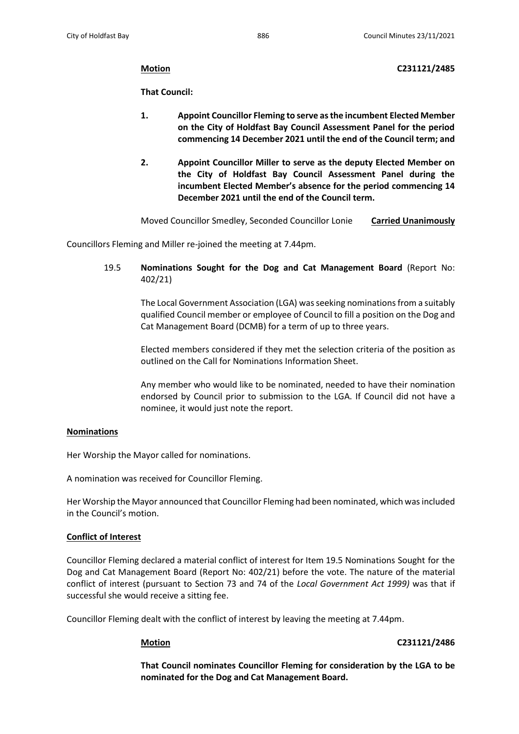**Motion C231121/2485**

**That Council:**

- **1. Appoint Councillor Fleming to serve as the incumbent Elected Member on the City of Holdfast Bay Council Assessment Panel for the period commencing 14 December 2021 until the end of the Council term; and**
- **2. Appoint Councillor Miller to serve as the deputy Elected Member on the City of Holdfast Bay Council Assessment Panel during the incumbent Elected Member's absence for the period commencing 14 December 2021 until the end of the Council term.**

Moved Councillor Smedley, Seconded Councillor Lonie **Carried Unanimously**

Councillors Fleming and Miller re-joined the meeting at 7.44pm.

19.5 **Nominations Sought for the Dog and Cat Management Board** (Report No: 402/21)

> The Local Government Association (LGA) wasseeking nominations from a suitably qualified Council member or employee of Council to fill a position on the Dog and Cat Management Board (DCMB) for a term of up to three years.

> Elected members considered if they met the selection criteria of the position as outlined on the Call for Nominations Information Sheet.

> Any member who would like to be nominated, needed to have their nomination endorsed by Council prior to submission to the LGA. If Council did not have a nominee, it would just note the report.

# **Nominations**

Her Worship the Mayor called for nominations.

A nomination was received for Councillor Fleming.

Her Worship the Mayor announced that Councillor Fleming had been nominated, which was included in the Council's motion.

## **Conflict of Interest**

Councillor Fleming declared a material conflict of interest for Item 19.5 Nominations Sought for the Dog and Cat Management Board (Report No: 402/21) before the vote. The nature of the material conflict of interest (pursuant to Section 73 and 74 of the *Local Government Act 1999)* was that if successful she would receive a sitting fee.

Councillor Fleming dealt with the conflict of interest by leaving the meeting at 7.44pm.

# **Motion C231121/2486**

**That Council nominates Councillor Fleming for consideration by the LGA to be nominated for the Dog and Cat Management Board.**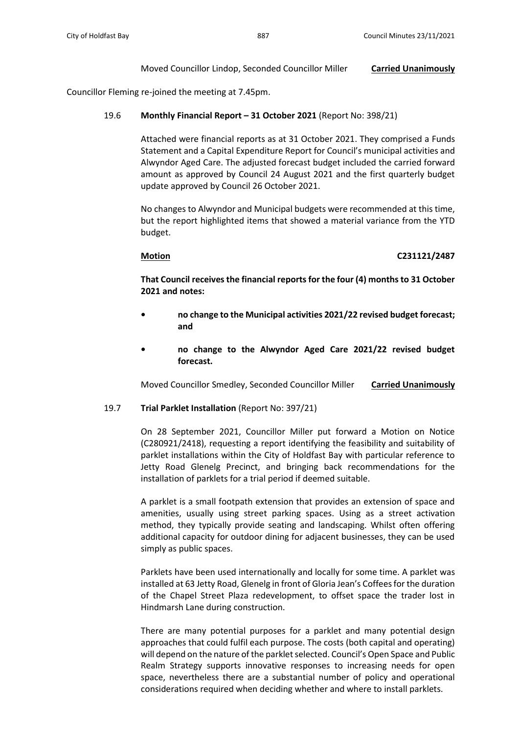## Moved Councillor Lindop, Seconded Councillor Miller **Carried Unanimously**

Councillor Fleming re-joined the meeting at 7.45pm.

## 19.6 **Monthly Financial Report – 31 October 2021** (Report No: 398/21)

Attached were financial reports as at 31 October 2021. They comprised a Funds Statement and a Capital Expenditure Report for Council's municipal activities and Alwyndor Aged Care. The adjusted forecast budget included the carried forward amount as approved by Council 24 August 2021 and the first quarterly budget update approved by Council 26 October 2021.

No changes to Alwyndor and Municipal budgets were recommended at this time, but the report highlighted items that showed a material variance from the YTD budget.

### **Motion C231121/2487**

**That Council receives the financial reports for the four (4) months to 31 October 2021 and notes:**

- **• no change to the Municipal activities 2021/22 revised budget forecast; and**
- **• no change to the Alwyndor Aged Care 2021/22 revised budget forecast.**

Moved Councillor Smedley, Seconded Councillor Miller **Carried Unanimously**

## 19.7 **Trial Parklet Installation** (Report No: 397/21)

On 28 September 2021, Councillor Miller put forward a Motion on Notice (C280921/2418), requesting a report identifying the feasibility and suitability of parklet installations within the City of Holdfast Bay with particular reference to Jetty Road Glenelg Precinct, and bringing back recommendations for the installation of parklets for a trial period if deemed suitable.

A parklet is a small footpath extension that provides an extension of space and amenities, usually using street parking spaces. Using as a street activation method, they typically provide seating and landscaping. Whilst often offering additional capacity for outdoor dining for adjacent businesses, they can be used simply as public spaces.

Parklets have been used internationally and locally for some time. A parklet was installed at 63 Jetty Road, Glenelg in front of Gloria Jean's Coffees for the duration of the Chapel Street Plaza redevelopment, to offset space the trader lost in Hindmarsh Lane during construction.

There are many potential purposes for a parklet and many potential design approaches that could fulfil each purpose. The costs (both capital and operating) will depend on the nature of the parklet selected. Council's Open Space and Public Realm Strategy supports innovative responses to increasing needs for open space, nevertheless there are a substantial number of policy and operational considerations required when deciding whether and where to install parklets.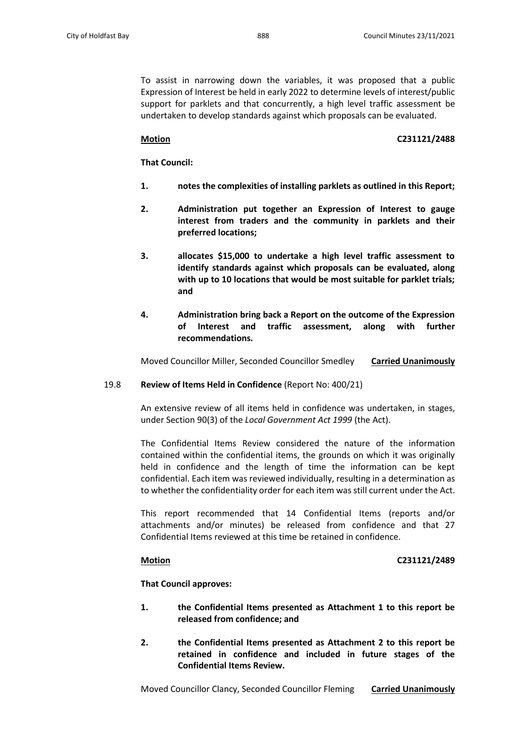To assist in narrowing down the variables, it was proposed that a public Expression of Interest be held in early 2022 to determine levels of interest/public support for parklets and that concurrently, a high level traffic assessment be undertaken to develop standards against which proposals can be evaluated.

# **Motion C231121/2488**

**That Council:**

- **1. notes the complexities of installing parklets as outlined in this Report;**
- **2. Administration put together an Expression of Interest to gauge interest from traders and the community in parklets and their preferred locations;**
- **3. allocates \$15,000 to undertake a high level traffic assessment to identify standards against which proposals can be evaluated, along with up to 10 locations that would be most suitable for parklet trials; and**
- **4. Administration bring back a Report on the outcome of the Expression of Interest and traffic assessment, along with further recommendations.**

Moved Councillor Miller, Seconded Councillor Smedley **Carried Unanimously**

## 19.8 **Review of Items Held in Confidence** (Report No: 400/21)

An extensive review of all items held in confidence was undertaken, in stages, under Section 90(3) of the *Local Government Act 1999* (the Act).

The Confidential Items Review considered the nature of the information contained within the confidential items, the grounds on which it was originally held in confidence and the length of time the information can be kept confidential. Each item was reviewed individually, resulting in a determination as to whether the confidentiality order for each item was still current under the Act.

This report recommended that 14 Confidential Items (reports and/or attachments and/or minutes) be released from confidence and that 27 Confidential Items reviewed at this time be retained in confidence.

## **Motion C231121/2489**

**That Council approves:**

- **1. the Confidential Items presented as Attachment 1 to this report be released from confidence; and**
- **2. the Confidential Items presented as Attachment 2 to this report be retained in confidence and included in future stages of the Confidential Items Review.**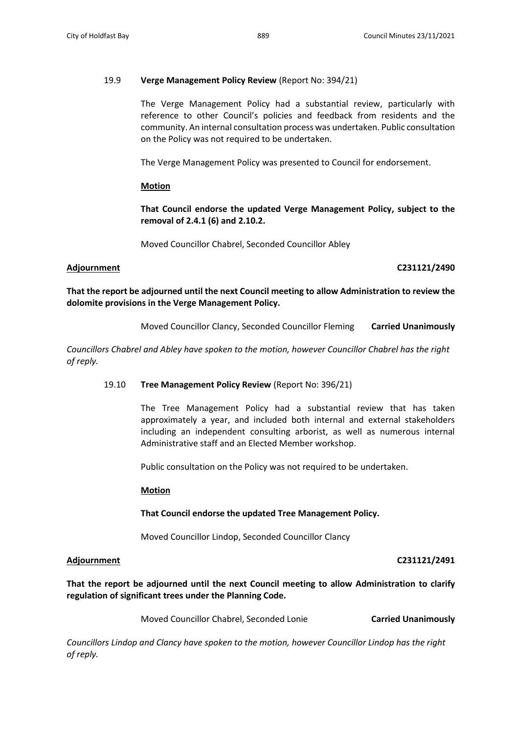# 19.9 **Verge Management Policy Review** (Report No: 394/21)

The Verge Management Policy had a substantial review, particularly with reference to other Council's policies and feedback from residents and the community. An internal consultation process was undertaken. Public consultation on the Policy was not required to be undertaken.

The Verge Management Policy was presented to Council for endorsement.

## **Motion**

**That Council endorse the updated Verge Management Policy, subject to the removal of 2.4.1 (6) and 2.10.2.**

Moved Councillor Chabrel, Seconded Councillor Abley

## **Adjournment C231121/2490**

**That the report be adjourned until the next Council meeting to allow Administration to review the dolomite provisions in the Verge Management Policy.**

Moved Councillor Clancy, Seconded Councillor Fleming **Carried Unanimously**

*Councillors Chabrel and Abley have spoken to the motion, however Councillor Chabrel has the right of reply.*

## 19.10 **Tree Management Policy Review** (Report No: 396/21)

The Tree Management Policy had a substantial review that has taken approximately a year, and included both internal and external stakeholders including an independent consulting arborist, as well as numerous internal Administrative staff and an Elected Member workshop.

Public consultation on the Policy was not required to be undertaken.

## **Motion**

# **That Council endorse the updated Tree Management Policy.**

Moved Councillor Lindop, Seconded Councillor Clancy

## **Adjournment C231121/2491**

**That the report be adjourned until the next Council meeting to allow Administration to clarify regulation of significant trees under the Planning Code.**

Moved Councillor Chabrel, Seconded Lonie **Carried Unanimously**

*Councillors Lindop and Clancy have spoken to the motion, however Councillor Lindop has the right of reply.*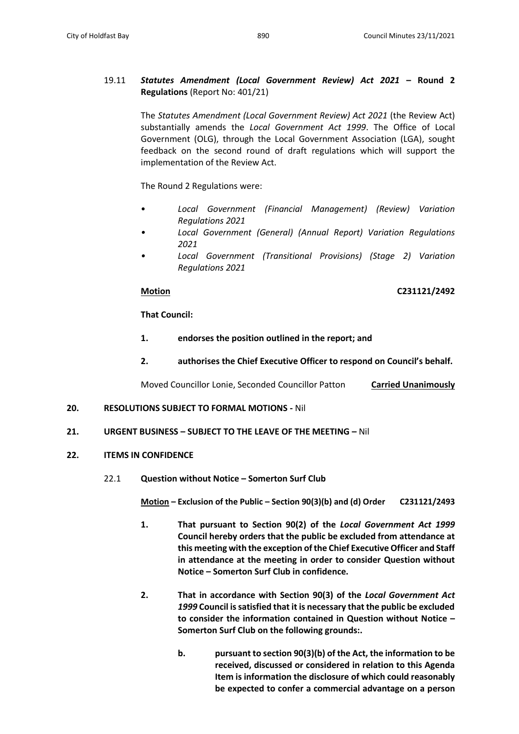# 19.11 *Statutes Amendment (Local Government Review) Act 2021* **– Round 2 Regulations** (Report No: 401/21)

The *Statutes Amendment (Local Government Review) Act 2021* (the Review Act) substantially amends the *Local Government Act 1999*. The Office of Local Government (OLG), through the Local Government Association (LGA), sought feedback on the second round of draft regulations which will support the implementation of the Review Act.

The Round 2 Regulations were:

- *Local Government (Financial Management) (Review) Variation Regulations 2021*
- *• Local Government (General) (Annual Report) Variation Regulations 2021*
- *• Local Government (Transitional Provisions) (Stage 2) Variation Regulations 2021*

# **Motion C231121/2492**

**That Council:**

- **1. endorses the position outlined in the report; and**
- **2. authorises the Chief Executive Officer to respond on Council's behalf.**

Moved Councillor Lonie, Seconded Councillor Patton **Carried Unanimously**

## **20. RESOLUTIONS SUBJECT TO FORMAL MOTIONS -** Nil

## **21. URGENT BUSINESS – SUBJECT TO THE LEAVE OF THE MEETING –** Nil

## **22. ITEMS IN CONFIDENCE**

22.1 **Question without Notice – Somerton Surf Club**

**Motion – Exclusion of the Public – Section 90(3)(b) and (d) Order C231121/2493**

- **1. That pursuant to Section 90(2) of the** *Local Government Act 1999* **Council hereby orders that the public be excluded from attendance at this meeting with the exception of the Chief Executive Officer and Staff in attendance at the meeting in order to consider Question without Notice – Somerton Surf Club in confidence.**
- **2. That in accordance with Section 90(3) of the** *Local Government Act 1999* **Council is satisfied that it is necessary that the public be excluded to consider the information contained in Question without Notice – Somerton Surf Club on the following grounds:.**
	- **b. pursuant to section 90(3)(b) of the Act, the information to be received, discussed or considered in relation to this Agenda Item is information the disclosure of which could reasonably be expected to confer a commercial advantage on a person**